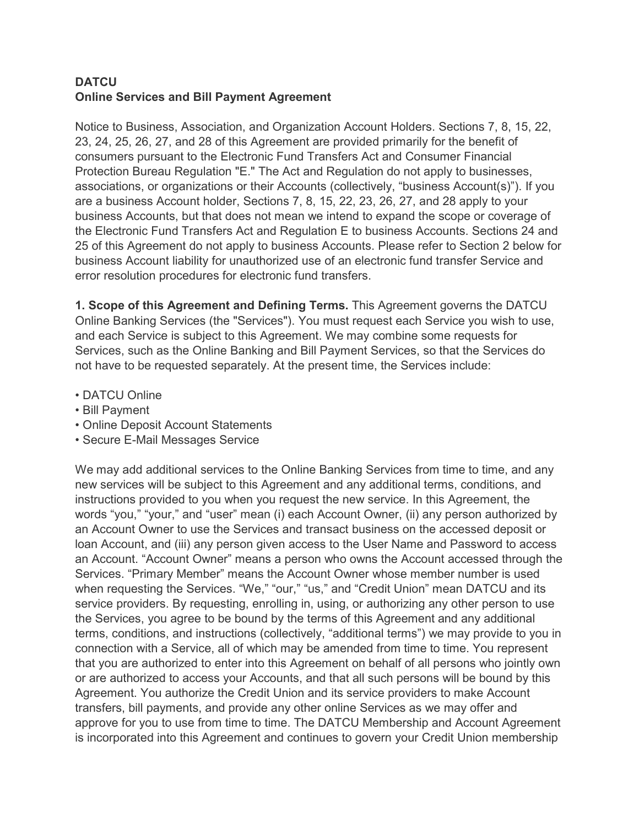# **DATCU Online Services and Bill Payment Agreement**

Notice to Business, Association, and Organization Account Holders. Sections 7, 8, 15, 22, 23, 24, 25, 26, 27, and 28 of this Agreement are provided primarily for the benefit of consumers pursuant to the Electronic Fund Transfers Act and Consumer Financial Protection Bureau Regulation "E." The Act and Regulation do not apply to businesses, associations, or organizations or their Accounts (collectively, "business Account(s)"). If you are a business Account holder, Sections 7, 8, 15, 22, 23, 26, 27, and 28 apply to your business Accounts, but that does not mean we intend to expand the scope or coverage of the Electronic Fund Transfers Act and Regulation E to business Accounts. Sections 24 and 25 of this Agreement do not apply to business Accounts. Please refer to Section 2 below for business Account liability for unauthorized use of an electronic fund transfer Service and error resolution procedures for electronic fund transfers.

**1. Scope of this Agreement and Defining Terms.** This Agreement governs the DATCU Online Banking Services (the "Services"). You must request each Service you wish to use, and each Service is subject to this Agreement. We may combine some requests for Services, such as the Online Banking and Bill Payment Services, so that the Services do not have to be requested separately. At the present time, the Services include:

- DATCU Online
- Bill Payment
- Online Deposit Account Statements
- Secure E-Mail Messages Service

We may add additional services to the Online Banking Services from time to time, and any new services will be subject to this Agreement and any additional terms, conditions, and instructions provided to you when you request the new service. In this Agreement, the words "you," "your," and "user" mean (i) each Account Owner, (ii) any person authorized by an Account Owner to use the Services and transact business on the accessed deposit or loan Account, and (iii) any person given access to the User Name and Password to access an Account. "Account Owner" means a person who owns the Account accessed through the Services. "Primary Member" means the Account Owner whose member number is used when requesting the Services. "We," "our," "us," and "Credit Union" mean DATCU and its service providers. By requesting, enrolling in, using, or authorizing any other person to use the Services, you agree to be bound by the terms of this Agreement and any additional terms, conditions, and instructions (collectively, "additional terms") we may provide to you in connection with a Service, all of which may be amended from time to time. You represent that you are authorized to enter into this Agreement on behalf of all persons who jointly own or are authorized to access your Accounts, and that all such persons will be bound by this Agreement. You authorize the Credit Union and its service providers to make Account transfers, bill payments, and provide any other online Services as we may offer and approve for you to use from time to time. The DATCU Membership and Account Agreement is incorporated into this Agreement and continues to govern your Credit Union membership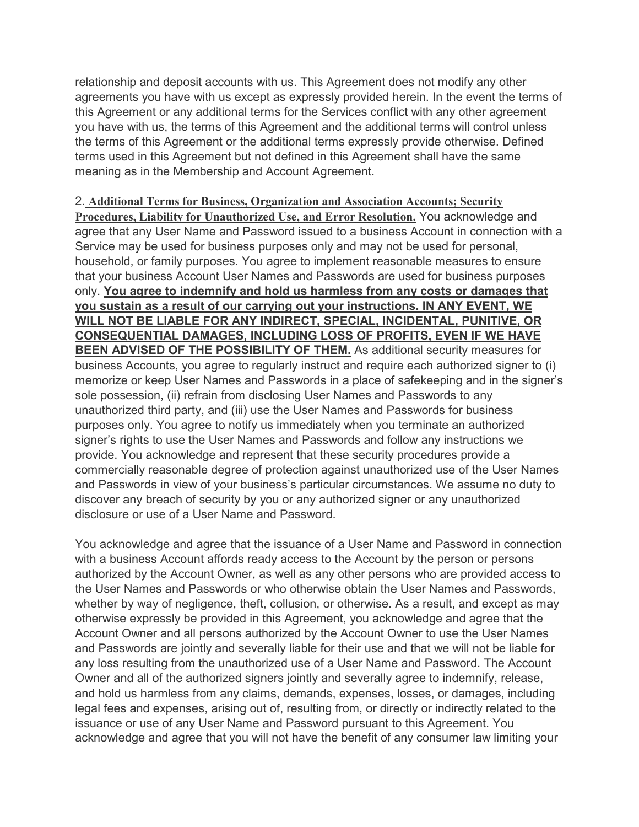relationship and deposit accounts with us. This Agreement does not modify any other agreements you have with us except as expressly provided herein. In the event the terms of this Agreement or any additional terms for the Services conflict with any other agreement you have with us, the terms of this Agreement and the additional terms will control unless the terms of this Agreement or the additional terms expressly provide otherwise. Defined terms used in this Agreement but not defined in this Agreement shall have the same meaning as in the Membership and Account Agreement.

#### 2. **Additional Terms for Business, Organization and Association Accounts; Security**

**Procedures, Liability for Unauthorized Use, and Error Resolution.** You acknowledge and agree that any User Name and Password issued to a business Account in connection with a Service may be used for business purposes only and may not be used for personal, household, or family purposes. You agree to implement reasonable measures to ensure that your business Account User Names and Passwords are used for business purposes only. **You agree to indemnify and hold us harmless from any costs or damages that you sustain as a result of our carrying out your instructions. IN ANY EVENT, WE WILL NOT BE LIABLE FOR ANY INDIRECT, SPECIAL, INCIDENTAL, PUNITIVE, OR CONSEQUENTIAL DAMAGES, INCLUDING LOSS OF PROFITS, EVEN IF WE HAVE BEEN ADVISED OF THE POSSIBILITY OF THEM.** As additional security measures for business Accounts, you agree to regularly instruct and require each authorized signer to (i) memorize or keep User Names and Passwords in a place of safekeeping and in the signer's sole possession, (ii) refrain from disclosing User Names and Passwords to any unauthorized third party, and (iii) use the User Names and Passwords for business purposes only. You agree to notify us immediately when you terminate an authorized signer's rights to use the User Names and Passwords and follow any instructions we provide. You acknowledge and represent that these security procedures provide a commercially reasonable degree of protection against unauthorized use of the User Names and Passwords in view of your business's particular circumstances. We assume no duty to discover any breach of security by you or any authorized signer or any unauthorized disclosure or use of a User Name and Password.

You acknowledge and agree that the issuance of a User Name and Password in connection with a business Account affords ready access to the Account by the person or persons authorized by the Account Owner, as well as any other persons who are provided access to the User Names and Passwords or who otherwise obtain the User Names and Passwords, whether by way of negligence, theft, collusion, or otherwise. As a result, and except as may otherwise expressly be provided in this Agreement, you acknowledge and agree that the Account Owner and all persons authorized by the Account Owner to use the User Names and Passwords are jointly and severally liable for their use and that we will not be liable for any loss resulting from the unauthorized use of a User Name and Password. The Account Owner and all of the authorized signers jointly and severally agree to indemnify, release, and hold us harmless from any claims, demands, expenses, losses, or damages, including legal fees and expenses, arising out of, resulting from, or directly or indirectly related to the issuance or use of any User Name and Password pursuant to this Agreement. You acknowledge and agree that you will not have the benefit of any consumer law limiting your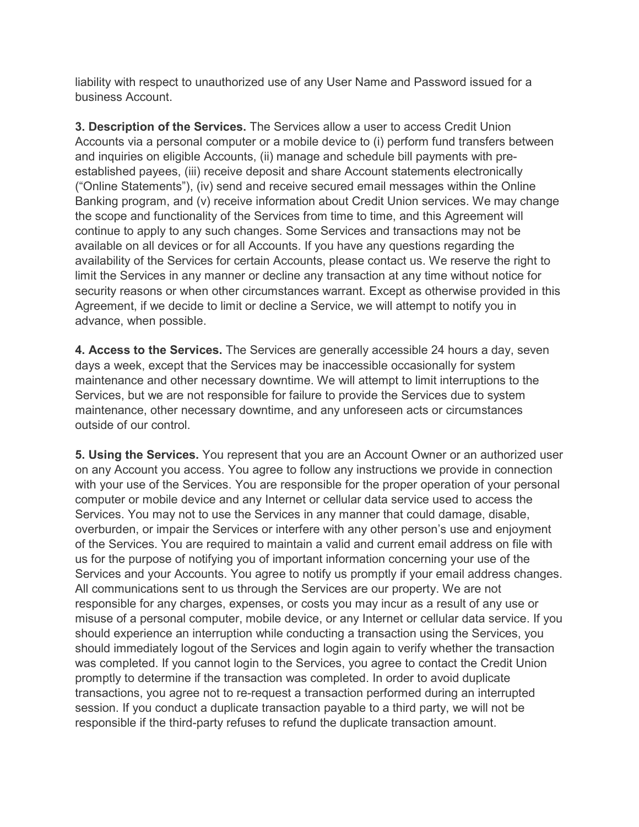liability with respect to unauthorized use of any User Name and Password issued for a business Account.

**3. Description of the Services.** The Services allow a user to access Credit Union Accounts via a personal computer or a mobile device to (i) perform fund transfers between and inquiries on eligible Accounts, (ii) manage and schedule bill payments with preestablished payees, (iii) receive deposit and share Account statements electronically ("Online Statements"), (iv) send and receive secured email messages within the Online Banking program, and (v) receive information about Credit Union services. We may change the scope and functionality of the Services from time to time, and this Agreement will continue to apply to any such changes. Some Services and transactions may not be available on all devices or for all Accounts. If you have any questions regarding the availability of the Services for certain Accounts, please contact us. We reserve the right to limit the Services in any manner or decline any transaction at any time without notice for security reasons or when other circumstances warrant. Except as otherwise provided in this Agreement, if we decide to limit or decline a Service, we will attempt to notify you in advance, when possible.

**4. Access to the Services.** The Services are generally accessible 24 hours a day, seven days a week, except that the Services may be inaccessible occasionally for system maintenance and other necessary downtime. We will attempt to limit interruptions to the Services, but we are not responsible for failure to provide the Services due to system maintenance, other necessary downtime, and any unforeseen acts or circumstances outside of our control.

**5. Using the Services.** You represent that you are an Account Owner or an authorized user on any Account you access. You agree to follow any instructions we provide in connection with your use of the Services. You are responsible for the proper operation of your personal computer or mobile device and any Internet or cellular data service used to access the Services. You may not to use the Services in any manner that could damage, disable, overburden, or impair the Services or interfere with any other person's use and enjoyment of the Services. You are required to maintain a valid and current email address on file with us for the purpose of notifying you of important information concerning your use of the Services and your Accounts. You agree to notify us promptly if your email address changes. All communications sent to us through the Services are our property. We are not responsible for any charges, expenses, or costs you may incur as a result of any use or misuse of a personal computer, mobile device, or any Internet or cellular data service. If you should experience an interruption while conducting a transaction using the Services, you should immediately logout of the Services and login again to verify whether the transaction was completed. If you cannot login to the Services, you agree to contact the Credit Union promptly to determine if the transaction was completed. In order to avoid duplicate transactions, you agree not to re-request a transaction performed during an interrupted session. If you conduct a duplicate transaction payable to a third party, we will not be responsible if the third-party refuses to refund the duplicate transaction amount.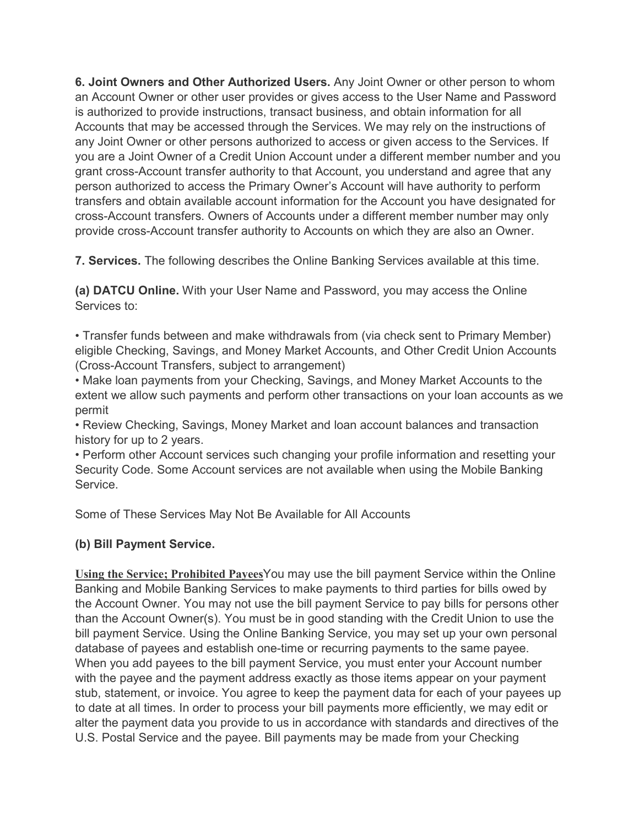**6. Joint Owners and Other Authorized Users.** Any Joint Owner or other person to whom an Account Owner or other user provides or gives access to the User Name and Password is authorized to provide instructions, transact business, and obtain information for all Accounts that may be accessed through the Services. We may rely on the instructions of any Joint Owner or other persons authorized to access or given access to the Services. If you are a Joint Owner of a Credit Union Account under a different member number and you grant cross-Account transfer authority to that Account, you understand and agree that any person authorized to access the Primary Owner's Account will have authority to perform transfers and obtain available account information for the Account you have designated for cross-Account transfers. Owners of Accounts under a different member number may only provide cross-Account transfer authority to Accounts on which they are also an Owner.

**7. Services.** The following describes the Online Banking Services available at this time.

**(a) DATCU Online.** With your User Name and Password, you may access the Online Services to:

• Transfer funds between and make withdrawals from (via check sent to Primary Member) eligible Checking, Savings, and Money Market Accounts, and Other Credit Union Accounts (Cross-Account Transfers, subject to arrangement)

• Make loan payments from your Checking, Savings, and Money Market Accounts to the extent we allow such payments and perform other transactions on your loan accounts as we permit

• Review Checking, Savings, Money Market and loan account balances and transaction history for up to 2 years.

• Perform other Account services such changing your profile information and resetting your Security Code. Some Account services are not available when using the Mobile Banking Service.

Some of These Services May Not Be Available for All Accounts

# **(b) Bill Payment Service.**

**Using the Service; Prohibited Payees**You may use the bill payment Service within the Online Banking and Mobile Banking Services to make payments to third parties for bills owed by the Account Owner. You may not use the bill payment Service to pay bills for persons other than the Account Owner(s). You must be in good standing with the Credit Union to use the bill payment Service. Using the Online Banking Service, you may set up your own personal database of payees and establish one-time or recurring payments to the same payee. When you add payees to the bill payment Service, you must enter your Account number with the payee and the payment address exactly as those items appear on your payment stub, statement, or invoice. You agree to keep the payment data for each of your payees up to date at all times. In order to process your bill payments more efficiently, we may edit or alter the payment data you provide to us in accordance with standards and directives of the U.S. Postal Service and the payee. Bill payments may be made from your Checking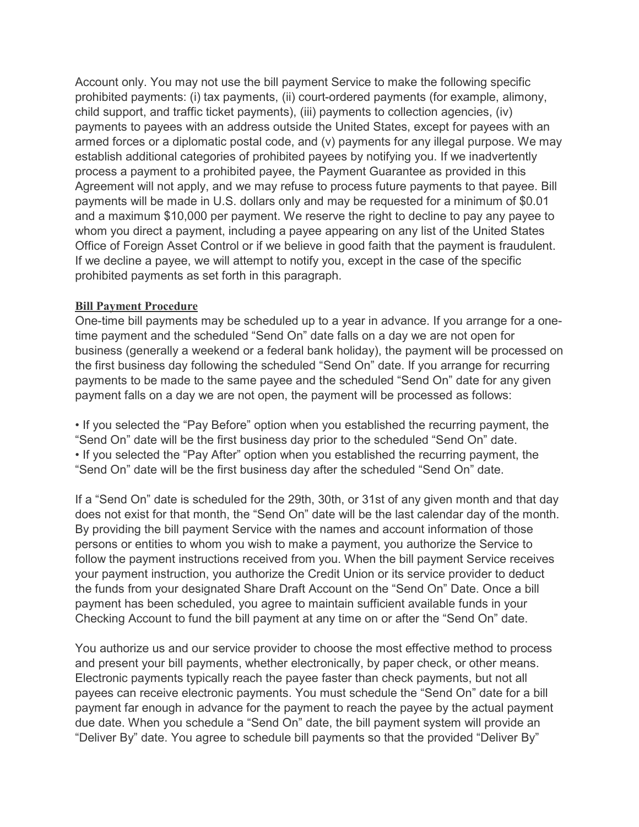Account only. You may not use the bill payment Service to make the following specific prohibited payments: (i) tax payments, (ii) court-ordered payments (for example, alimony, child support, and traffic ticket payments), (iii) payments to collection agencies, (iv) payments to payees with an address outside the United States, except for payees with an armed forces or a diplomatic postal code, and (v) payments for any illegal purpose. We may establish additional categories of prohibited payees by notifying you. If we inadvertently process a payment to a prohibited payee, the Payment Guarantee as provided in this Agreement will not apply, and we may refuse to process future payments to that payee. Bill payments will be made in U.S. dollars only and may be requested for a minimum of \$0.01 and a maximum \$10,000 per payment. We reserve the right to decline to pay any payee to whom you direct a payment, including a payee appearing on any list of the United States Office of Foreign Asset Control or if we believe in good faith that the payment is fraudulent. If we decline a payee, we will attempt to notify you, except in the case of the specific prohibited payments as set forth in this paragraph.

#### **Bill Payment Procedure**

One-time bill payments may be scheduled up to a year in advance. If you arrange for a onetime payment and the scheduled "Send On" date falls on a day we are not open for business (generally a weekend or a federal bank holiday), the payment will be processed on the first business day following the scheduled "Send On" date. If you arrange for recurring payments to be made to the same payee and the scheduled "Send On" date for any given payment falls on a day we are not open, the payment will be processed as follows:

• If you selected the "Pay Before" option when you established the recurring payment, the "Send On" date will be the first business day prior to the scheduled "Send On" date. • If you selected the "Pay After" option when you established the recurring payment, the "Send On" date will be the first business day after the scheduled "Send On" date.

If a "Send On" date is scheduled for the 29th, 30th, or 31st of any given month and that day does not exist for that month, the "Send On" date will be the last calendar day of the month. By providing the bill payment Service with the names and account information of those persons or entities to whom you wish to make a payment, you authorize the Service to follow the payment instructions received from you. When the bill payment Service receives your payment instruction, you authorize the Credit Union or its service provider to deduct the funds from your designated Share Draft Account on the "Send On" Date. Once a bill payment has been scheduled, you agree to maintain sufficient available funds in your Checking Account to fund the bill payment at any time on or after the "Send On" date.

You authorize us and our service provider to choose the most effective method to process and present your bill payments, whether electronically, by paper check, or other means. Electronic payments typically reach the payee faster than check payments, but not all payees can receive electronic payments. You must schedule the "Send On" date for a bill payment far enough in advance for the payment to reach the payee by the actual payment due date. When you schedule a "Send On" date, the bill payment system will provide an "Deliver By" date. You agree to schedule bill payments so that the provided "Deliver By"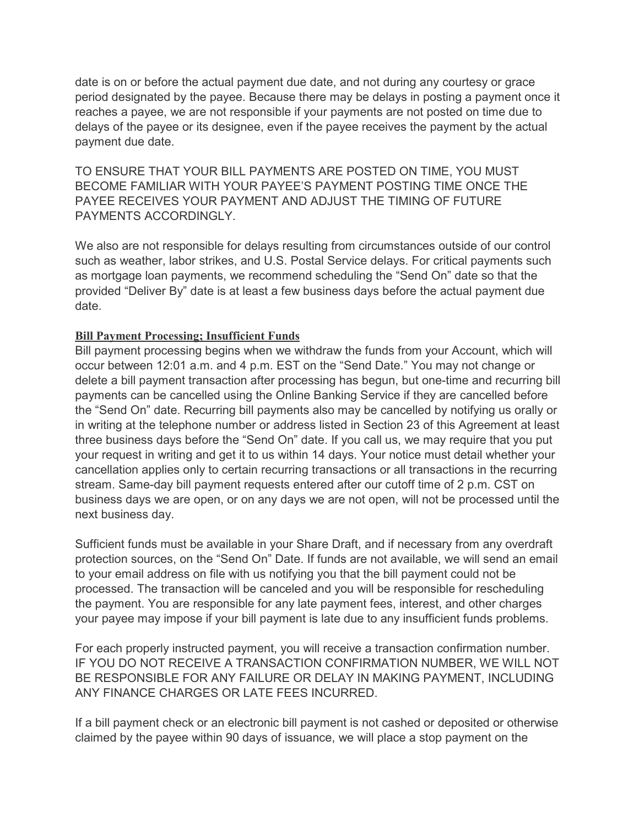date is on or before the actual payment due date, and not during any courtesy or grace period designated by the payee. Because there may be delays in posting a payment once it reaches a payee, we are not responsible if your payments are not posted on time due to delays of the payee or its designee, even if the payee receives the payment by the actual payment due date.

TO ENSURE THAT YOUR BILL PAYMENTS ARE POSTED ON TIME, YOU MUST BECOME FAMILIAR WITH YOUR PAYEE'S PAYMENT POSTING TIME ONCE THE PAYEE RECEIVES YOUR PAYMENT AND ADJUST THE TIMING OF FUTURE PAYMENTS ACCORDINGLY.

We also are not responsible for delays resulting from circumstances outside of our control such as weather, labor strikes, and U.S. Postal Service delays. For critical payments such as mortgage loan payments, we recommend scheduling the "Send On" date so that the provided "Deliver By" date is at least a few business days before the actual payment due date.

### **Bill Payment Processing; Insufficient Funds**

Bill payment processing begins when we withdraw the funds from your Account, which will occur between 12:01 a.m. and 4 p.m. EST on the "Send Date." You may not change or delete a bill payment transaction after processing has begun, but one-time and recurring bill payments can be cancelled using the Online Banking Service if they are cancelled before the "Send On" date. Recurring bill payments also may be cancelled by notifying us orally or in writing at the telephone number or address listed in Section 23 of this Agreement at least three business days before the "Send On" date. If you call us, we may require that you put your request in writing and get it to us within 14 days. Your notice must detail whether your cancellation applies only to certain recurring transactions or all transactions in the recurring stream. Same-day bill payment requests entered after our cutoff time of 2 p.m. CST on business days we are open, or on any days we are not open, will not be processed until the next business day.

Sufficient funds must be available in your Share Draft, and if necessary from any overdraft protection sources, on the "Send On" Date. If funds are not available, we will send an email to your email address on file with us notifying you that the bill payment could not be processed. The transaction will be canceled and you will be responsible for rescheduling the payment. You are responsible for any late payment fees, interest, and other charges your payee may impose if your bill payment is late due to any insufficient funds problems.

For each properly instructed payment, you will receive a transaction confirmation number. IF YOU DO NOT RECEIVE A TRANSACTION CONFIRMATION NUMBER, WE WILL NOT BE RESPONSIBLE FOR ANY FAILURE OR DELAY IN MAKING PAYMENT, INCLUDING ANY FINANCE CHARGES OR LATE FEES INCURRED.

If a bill payment check or an electronic bill payment is not cashed or deposited or otherwise claimed by the payee within 90 days of issuance, we will place a stop payment on the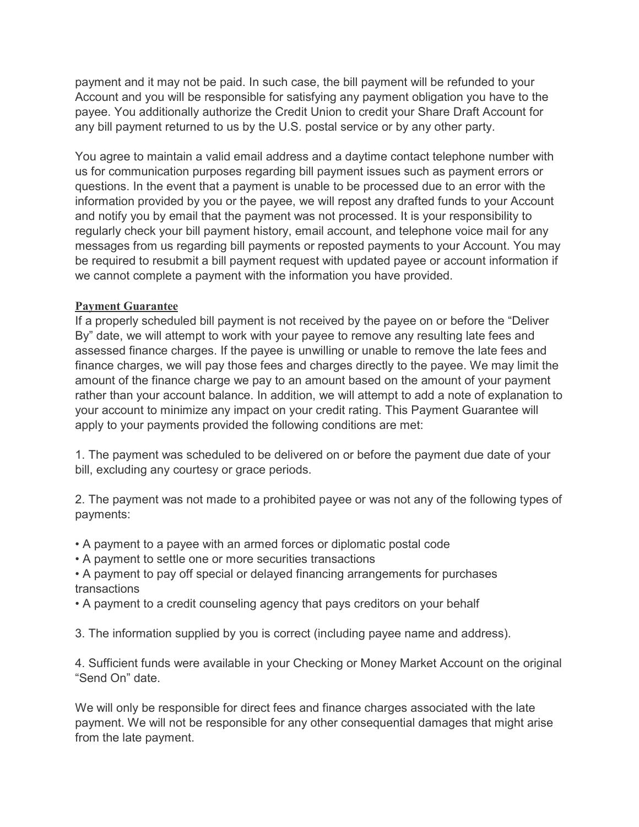payment and it may not be paid. In such case, the bill payment will be refunded to your Account and you will be responsible for satisfying any payment obligation you have to the payee. You additionally authorize the Credit Union to credit your Share Draft Account for any bill payment returned to us by the U.S. postal service or by any other party.

You agree to maintain a valid email address and a daytime contact telephone number with us for communication purposes regarding bill payment issues such as payment errors or questions. In the event that a payment is unable to be processed due to an error with the information provided by you or the payee, we will repost any drafted funds to your Account and notify you by email that the payment was not processed. It is your responsibility to regularly check your bill payment history, email account, and telephone voice mail for any messages from us regarding bill payments or reposted payments to your Account. You may be required to resubmit a bill payment request with updated payee or account information if we cannot complete a payment with the information you have provided.

## **Payment Guarantee**

If a properly scheduled bill payment is not received by the payee on or before the "Deliver By" date, we will attempt to work with your payee to remove any resulting late fees and assessed finance charges. If the payee is unwilling or unable to remove the late fees and finance charges, we will pay those fees and charges directly to the payee. We may limit the amount of the finance charge we pay to an amount based on the amount of your payment rather than your account balance. In addition, we will attempt to add a note of explanation to your account to minimize any impact on your credit rating. This Payment Guarantee will apply to your payments provided the following conditions are met:

1. The payment was scheduled to be delivered on or before the payment due date of your bill, excluding any courtesy or grace periods.

2. The payment was not made to a prohibited payee or was not any of the following types of payments:

- A payment to a payee with an armed forces or diplomatic postal code
- A payment to settle one or more securities transactions
- A payment to pay off special or delayed financing arrangements for purchases transactions
- A payment to a credit counseling agency that pays creditors on your behalf
- 3. The information supplied by you is correct (including payee name and address).

4. Sufficient funds were available in your Checking or Money Market Account on the original "Send On" date.

We will only be responsible for direct fees and finance charges associated with the late payment. We will not be responsible for any other consequential damages that might arise from the late payment.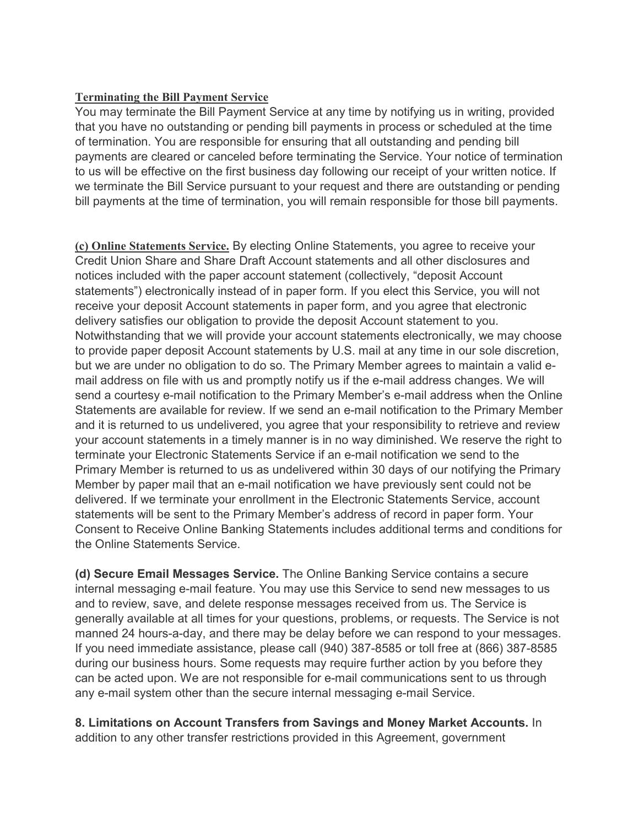## **Terminating the Bill Payment Service**

You may terminate the Bill Payment Service at any time by notifying us in writing, provided that you have no outstanding or pending bill payments in process or scheduled at the time of termination. You are responsible for ensuring that all outstanding and pending bill payments are cleared or canceled before terminating the Service. Your notice of termination to us will be effective on the first business day following our receipt of your written notice. If we terminate the Bill Service pursuant to your request and there are outstanding or pending bill payments at the time of termination, you will remain responsible for those bill payments.

**(c) Online Statements Service.** By electing Online Statements, you agree to receive your Credit Union Share and Share Draft Account statements and all other disclosures and notices included with the paper account statement (collectively, "deposit Account statements") electronically instead of in paper form. If you elect this Service, you will not receive your deposit Account statements in paper form, and you agree that electronic delivery satisfies our obligation to provide the deposit Account statement to you. Notwithstanding that we will provide your account statements electronically, we may choose to provide paper deposit Account statements by U.S. mail at any time in our sole discretion, but we are under no obligation to do so. The Primary Member agrees to maintain a valid email address on file with us and promptly notify us if the e-mail address changes. We will send a courtesy e-mail notification to the Primary Member's e-mail address when the Online Statements are available for review. If we send an e-mail notification to the Primary Member and it is returned to us undelivered, you agree that your responsibility to retrieve and review your account statements in a timely manner is in no way diminished. We reserve the right to terminate your Electronic Statements Service if an e-mail notification we send to the Primary Member is returned to us as undelivered within 30 days of our notifying the Primary Member by paper mail that an e-mail notification we have previously sent could not be delivered. If we terminate your enrollment in the Electronic Statements Service, account statements will be sent to the Primary Member's address of record in paper form. Your Consent to Receive Online Banking Statements includes additional terms and conditions for the Online Statements Service.

**(d) Secure Email Messages Service.** The Online Banking Service contains a secure internal messaging e-mail feature. You may use this Service to send new messages to us and to review, save, and delete response messages received from us. The Service is generally available at all times for your questions, problems, or requests. The Service is not manned 24 hours-a-day, and there may be delay before we can respond to your messages. If you need immediate assistance, please call (940) 387-8585 or toll free at (866) 387-8585 during our business hours. Some requests may require further action by you before they can be acted upon. We are not responsible for e-mail communications sent to us through any e-mail system other than the secure internal messaging e-mail Service.

**8. Limitations on Account Transfers from Savings and Money Market Accounts.** In addition to any other transfer restrictions provided in this Agreement, government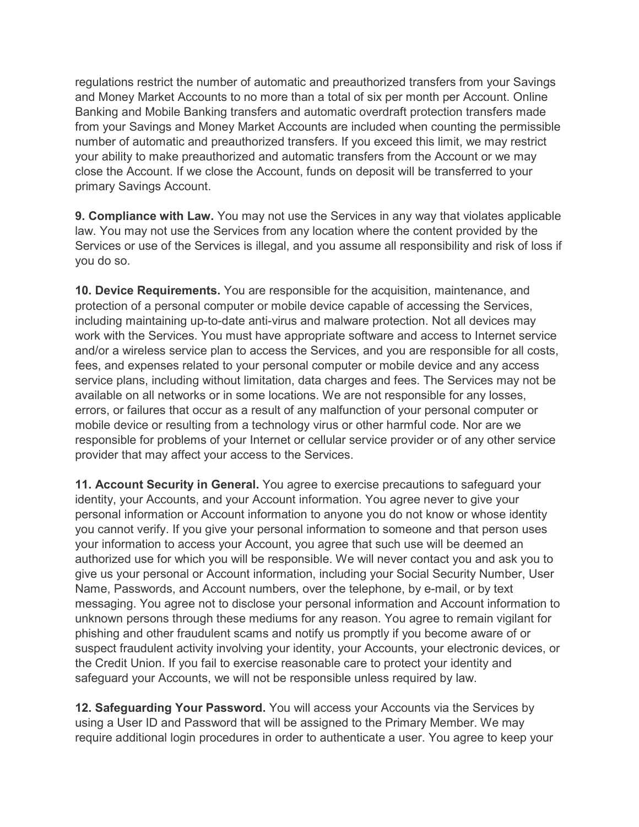regulations restrict the number of automatic and preauthorized transfers from your Savings and Money Market Accounts to no more than a total of six per month per Account. Online Banking and Mobile Banking transfers and automatic overdraft protection transfers made from your Savings and Money Market Accounts are included when counting the permissible number of automatic and preauthorized transfers. If you exceed this limit, we may restrict your ability to make preauthorized and automatic transfers from the Account or we may close the Account. If we close the Account, funds on deposit will be transferred to your primary Savings Account.

**9. Compliance with Law.** You may not use the Services in any way that violates applicable law. You may not use the Services from any location where the content provided by the Services or use of the Services is illegal, and you assume all responsibility and risk of loss if you do so.

**10. Device Requirements.** You are responsible for the acquisition, maintenance, and protection of a personal computer or mobile device capable of accessing the Services, including maintaining up-to-date anti-virus and malware protection. Not all devices may work with the Services. You must have appropriate software and access to Internet service and/or a wireless service plan to access the Services, and you are responsible for all costs, fees, and expenses related to your personal computer or mobile device and any access service plans, including without limitation, data charges and fees. The Services may not be available on all networks or in some locations. We are not responsible for any losses, errors, or failures that occur as a result of any malfunction of your personal computer or mobile device or resulting from a technology virus or other harmful code. Nor are we responsible for problems of your Internet or cellular service provider or of any other service provider that may affect your access to the Services.

**11. Account Security in General.** You agree to exercise precautions to safeguard your identity, your Accounts, and your Account information. You agree never to give your personal information or Account information to anyone you do not know or whose identity you cannot verify. If you give your personal information to someone and that person uses your information to access your Account, you agree that such use will be deemed an authorized use for which you will be responsible. We will never contact you and ask you to give us your personal or Account information, including your Social Security Number, User Name, Passwords, and Account numbers, over the telephone, by e-mail, or by text messaging. You agree not to disclose your personal information and Account information to unknown persons through these mediums for any reason. You agree to remain vigilant for phishing and other fraudulent scams and notify us promptly if you become aware of or suspect fraudulent activity involving your identity, your Accounts, your electronic devices, or the Credit Union. If you fail to exercise reasonable care to protect your identity and safeguard your Accounts, we will not be responsible unless required by law.

**12. Safeguarding Your Password.** You will access your Accounts via the Services by using a User ID and Password that will be assigned to the Primary Member. We may require additional login procedures in order to authenticate a user. You agree to keep your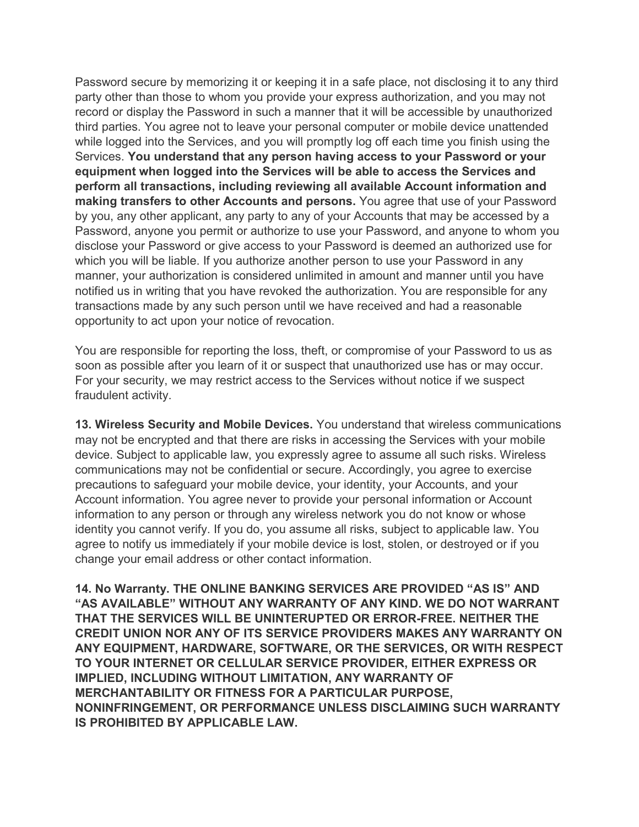Password secure by memorizing it or keeping it in a safe place, not disclosing it to any third party other than those to whom you provide your express authorization, and you may not record or display the Password in such a manner that it will be accessible by unauthorized third parties. You agree not to leave your personal computer or mobile device unattended while logged into the Services, and you will promptly log off each time you finish using the Services. **You understand that any person having access to your Password or your equipment when logged into the Services will be able to access the Services and perform all transactions, including reviewing all available Account information and making transfers to other Accounts and persons.** You agree that use of your Password by you, any other applicant, any party to any of your Accounts that may be accessed by a Password, anyone you permit or authorize to use your Password, and anyone to whom you disclose your Password or give access to your Password is deemed an authorized use for which you will be liable. If you authorize another person to use your Password in any manner, your authorization is considered unlimited in amount and manner until you have notified us in writing that you have revoked the authorization. You are responsible for any transactions made by any such person until we have received and had a reasonable opportunity to act upon your notice of revocation.

You are responsible for reporting the loss, theft, or compromise of your Password to us as soon as possible after you learn of it or suspect that unauthorized use has or may occur. For your security, we may restrict access to the Services without notice if we suspect fraudulent activity.

**13. Wireless Security and Mobile Devices.** You understand that wireless communications may not be encrypted and that there are risks in accessing the Services with your mobile device. Subject to applicable law, you expressly agree to assume all such risks. Wireless communications may not be confidential or secure. Accordingly, you agree to exercise precautions to safeguard your mobile device, your identity, your Accounts, and your Account information. You agree never to provide your personal information or Account information to any person or through any wireless network you do not know or whose identity you cannot verify. If you do, you assume all risks, subject to applicable law. You agree to notify us immediately if your mobile device is lost, stolen, or destroyed or if you change your email address or other contact information.

**14. No Warranty. THE ONLINE BANKING SERVICES ARE PROVIDED "AS IS" AND "AS AVAILABLE" WITHOUT ANY WARRANTY OF ANY KIND. WE DO NOT WARRANT THAT THE SERVICES WILL BE UNINTERUPTED OR ERROR-FREE. NEITHER THE CREDIT UNION NOR ANY OF ITS SERVICE PROVIDERS MAKES ANY WARRANTY ON ANY EQUIPMENT, HARDWARE, SOFTWARE, OR THE SERVICES, OR WITH RESPECT TO YOUR INTERNET OR CELLULAR SERVICE PROVIDER, EITHER EXPRESS OR IMPLIED, INCLUDING WITHOUT LIMITATION, ANY WARRANTY OF MERCHANTABILITY OR FITNESS FOR A PARTICULAR PURPOSE, NONINFRINGEMENT, OR PERFORMANCE UNLESS DISCLAIMING SUCH WARRANTY IS PROHIBITED BY APPLICABLE LAW.**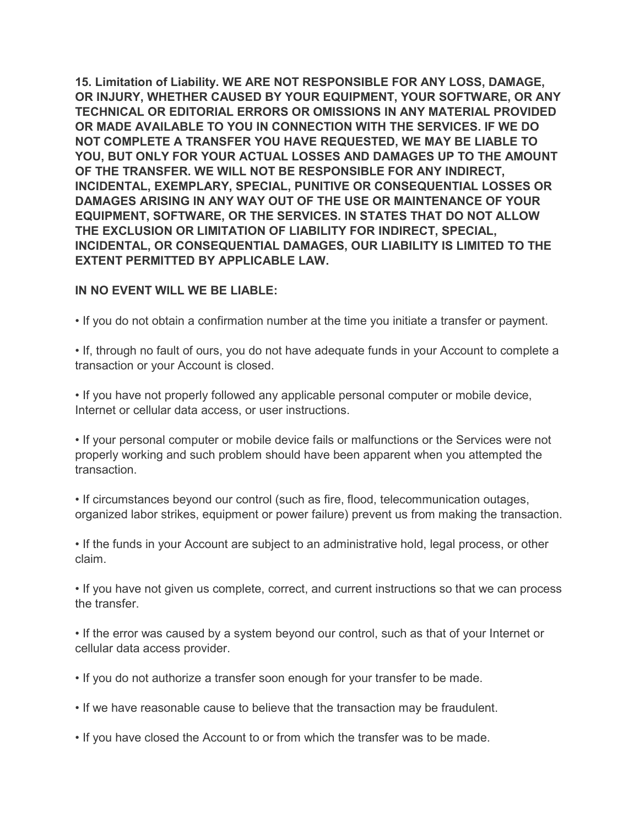**15. Limitation of Liability. WE ARE NOT RESPONSIBLE FOR ANY LOSS, DAMAGE, OR INJURY, WHETHER CAUSED BY YOUR EQUIPMENT, YOUR SOFTWARE, OR ANY TECHNICAL OR EDITORIAL ERRORS OR OMISSIONS IN ANY MATERIAL PROVIDED OR MADE AVAILABLE TO YOU IN CONNECTION WITH THE SERVICES. IF WE DO NOT COMPLETE A TRANSFER YOU HAVE REQUESTED, WE MAY BE LIABLE TO YOU, BUT ONLY FOR YOUR ACTUAL LOSSES AND DAMAGES UP TO THE AMOUNT OF THE TRANSFER. WE WILL NOT BE RESPONSIBLE FOR ANY INDIRECT, INCIDENTAL, EXEMPLARY, SPECIAL, PUNITIVE OR CONSEQUENTIAL LOSSES OR DAMAGES ARISING IN ANY WAY OUT OF THE USE OR MAINTENANCE OF YOUR EQUIPMENT, SOFTWARE, OR THE SERVICES. IN STATES THAT DO NOT ALLOW THE EXCLUSION OR LIMITATION OF LIABILITY FOR INDIRECT, SPECIAL, INCIDENTAL, OR CONSEQUENTIAL DAMAGES, OUR LIABILITY IS LIMITED TO THE EXTENT PERMITTED BY APPLICABLE LAW.**

### **IN NO EVENT WILL WE BE LIABLE:**

• If you do not obtain a confirmation number at the time you initiate a transfer or payment.

• If, through no fault of ours, you do not have adequate funds in your Account to complete a transaction or your Account is closed.

• If you have not properly followed any applicable personal computer or mobile device, Internet or cellular data access, or user instructions.

• If your personal computer or mobile device fails or malfunctions or the Services were not properly working and such problem should have been apparent when you attempted the transaction.

• If circumstances beyond our control (such as fire, flood, telecommunication outages, organized labor strikes, equipment or power failure) prevent us from making the transaction.

• If the funds in your Account are subject to an administrative hold, legal process, or other claim.

• If you have not given us complete, correct, and current instructions so that we can process the transfer.

• If the error was caused by a system beyond our control, such as that of your Internet or cellular data access provider.

- If you do not authorize a transfer soon enough for your transfer to be made.
- If we have reasonable cause to believe that the transaction may be fraudulent.
- If you have closed the Account to or from which the transfer was to be made.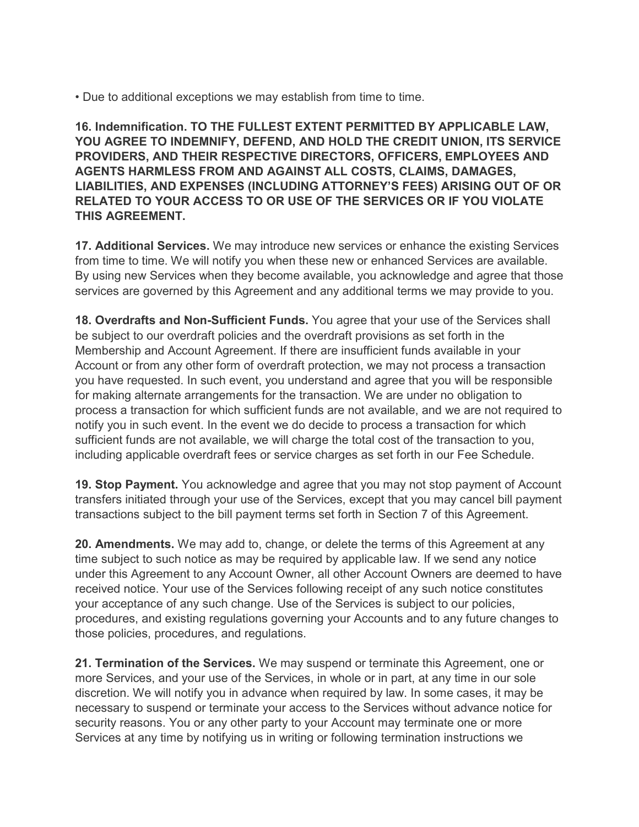• Due to additional exceptions we may establish from time to time.

**16. Indemnification. TO THE FULLEST EXTENT PERMITTED BY APPLICABLE LAW, YOU AGREE TO INDEMNIFY, DEFEND, AND HOLD THE CREDIT UNION, ITS SERVICE PROVIDERS, AND THEIR RESPECTIVE DIRECTORS, OFFICERS, EMPLOYEES AND AGENTS HARMLESS FROM AND AGAINST ALL COSTS, CLAIMS, DAMAGES, LIABILITIES, AND EXPENSES (INCLUDING ATTORNEY'S FEES) ARISING OUT OF OR RELATED TO YOUR ACCESS TO OR USE OF THE SERVICES OR IF YOU VIOLATE THIS AGREEMENT.**

**17. Additional Services.** We may introduce new services or enhance the existing Services from time to time. We will notify you when these new or enhanced Services are available. By using new Services when they become available, you acknowledge and agree that those services are governed by this Agreement and any additional terms we may provide to you.

**18. Overdrafts and Non-Sufficient Funds.** You agree that your use of the Services shall be subject to our overdraft policies and the overdraft provisions as set forth in the Membership and Account Agreement. If there are insufficient funds available in your Account or from any other form of overdraft protection, we may not process a transaction you have requested. In such event, you understand and agree that you will be responsible for making alternate arrangements for the transaction. We are under no obligation to process a transaction for which sufficient funds are not available, and we are not required to notify you in such event. In the event we do decide to process a transaction for which sufficient funds are not available, we will charge the total cost of the transaction to you, including applicable overdraft fees or service charges as set forth in our Fee Schedule.

**19. Stop Payment.** You acknowledge and agree that you may not stop payment of Account transfers initiated through your use of the Services, except that you may cancel bill payment transactions subject to the bill payment terms set forth in Section 7 of this Agreement.

**20. Amendments.** We may add to, change, or delete the terms of this Agreement at any time subject to such notice as may be required by applicable law. If we send any notice under this Agreement to any Account Owner, all other Account Owners are deemed to have received notice. Your use of the Services following receipt of any such notice constitutes your acceptance of any such change. Use of the Services is subject to our policies, procedures, and existing regulations governing your Accounts and to any future changes to those policies, procedures, and regulations.

**21. Termination of the Services.** We may suspend or terminate this Agreement, one or more Services, and your use of the Services, in whole or in part, at any time in our sole discretion. We will notify you in advance when required by law. In some cases, it may be necessary to suspend or terminate your access to the Services without advance notice for security reasons. You or any other party to your Account may terminate one or more Services at any time by notifying us in writing or following termination instructions we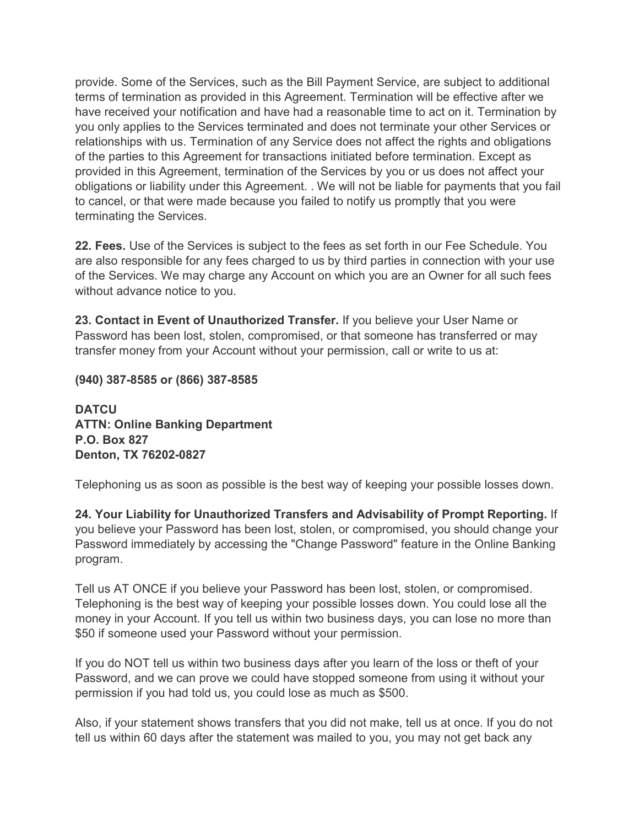provide. Some of the Services, such as the Bill Payment Service, are subject to additional terms of termination as provided in this Agreement. Termination will be effective after we have received your notification and have had a reasonable time to act on it. Termination by you only applies to the Services terminated and does not terminate your other Services or relationships with us. Termination of any Service does not affect the rights and obligations of the parties to this Agreement for transactions initiated before termination. Except as provided in this Agreement, termination of the Services by you or us does not affect your obligations or liability under this Agreement. . We will not be liable for payments that you fail to cancel, or that were made because you failed to notify us promptly that you were terminating the Services.

**22. Fees.** Use of the Services is subject to the fees as set forth in our Fee Schedule. You are also responsible for any fees charged to us by third parties in connection with your use of the Services. We may charge any Account on which you are an Owner for all such fees without advance notice to you.

**23. Contact in Event of Unauthorized Transfer.** If you believe your User Name or Password has been lost, stolen, compromised, or that someone has transferred or may transfer money from your Account without your permission, call or write to us at:

**(940) 387-8585 or (866) 387-8585**

**DATCU ATTN: Online Banking Department P.O. Box 827 Denton, TX 76202-0827**

Telephoning us as soon as possible is the best way of keeping your possible losses down.

**24. Your Liability for Unauthorized Transfers and Advisability of Prompt Reporting.** If you believe your Password has been lost, stolen, or compromised, you should change your Password immediately by accessing the "Change Password" feature in the Online Banking program.

Tell us AT ONCE if you believe your Password has been lost, stolen, or compromised. Telephoning is the best way of keeping your possible losses down. You could lose all the money in your Account. If you tell us within two business days, you can lose no more than \$50 if someone used your Password without your permission.

If you do NOT tell us within two business days after you learn of the loss or theft of your Password, and we can prove we could have stopped someone from using it without your permission if you had told us, you could lose as much as \$500.

Also, if your statement shows transfers that you did not make, tell us at once. If you do not tell us within 60 days after the statement was mailed to you, you may not get back any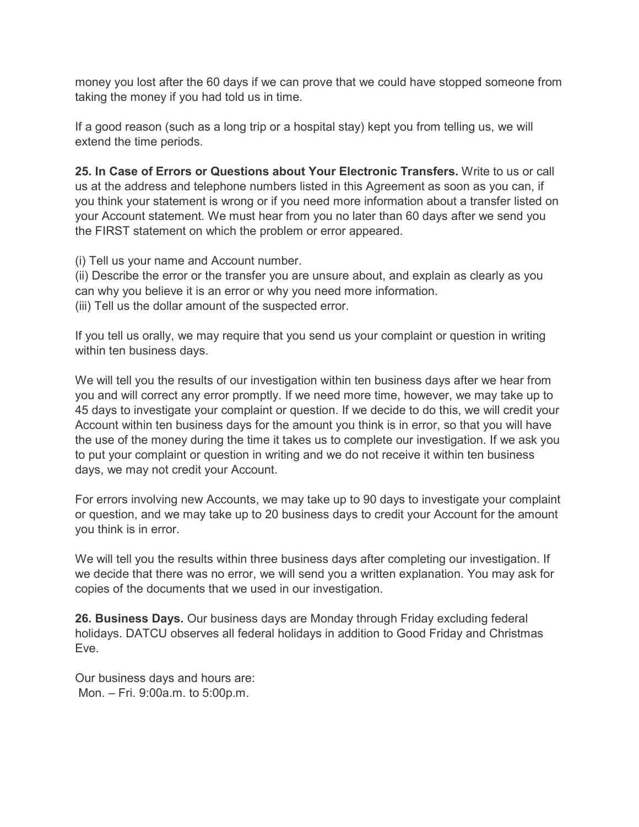money you lost after the 60 days if we can prove that we could have stopped someone from taking the money if you had told us in time.

If a good reason (such as a long trip or a hospital stay) kept you from telling us, we will extend the time periods.

**25. In Case of Errors or Questions about Your Electronic Transfers.** Write to us or call us at the address and telephone numbers listed in this Agreement as soon as you can, if you think your statement is wrong or if you need more information about a transfer listed on your Account statement. We must hear from you no later than 60 days after we send you the FIRST statement on which the problem or error appeared.

(i) Tell us your name and Account number.

(ii) Describe the error or the transfer you are unsure about, and explain as clearly as you can why you believe it is an error or why you need more information. (iii) Tell us the dollar amount of the suspected error.

If you tell us orally, we may require that you send us your complaint or question in writing within ten business days.

We will tell you the results of our investigation within ten business days after we hear from you and will correct any error promptly. If we need more time, however, we may take up to 45 days to investigate your complaint or question. If we decide to do this, we will credit your Account within ten business days for the amount you think is in error, so that you will have the use of the money during the time it takes us to complete our investigation. If we ask you to put your complaint or question in writing and we do not receive it within ten business days, we may not credit your Account.

For errors involving new Accounts, we may take up to 90 days to investigate your complaint or question, and we may take up to 20 business days to credit your Account for the amount you think is in error.

We will tell you the results within three business days after completing our investigation. If we decide that there was no error, we will send you a written explanation. You may ask for copies of the documents that we used in our investigation.

**26. Business Days.** Our business days are Monday through Friday excluding federal holidays. DATCU observes all federal holidays in addition to Good Friday and Christmas Eve.

Our business days and hours are: Mon. – Fri. 9:00a.m. to 5:00p.m.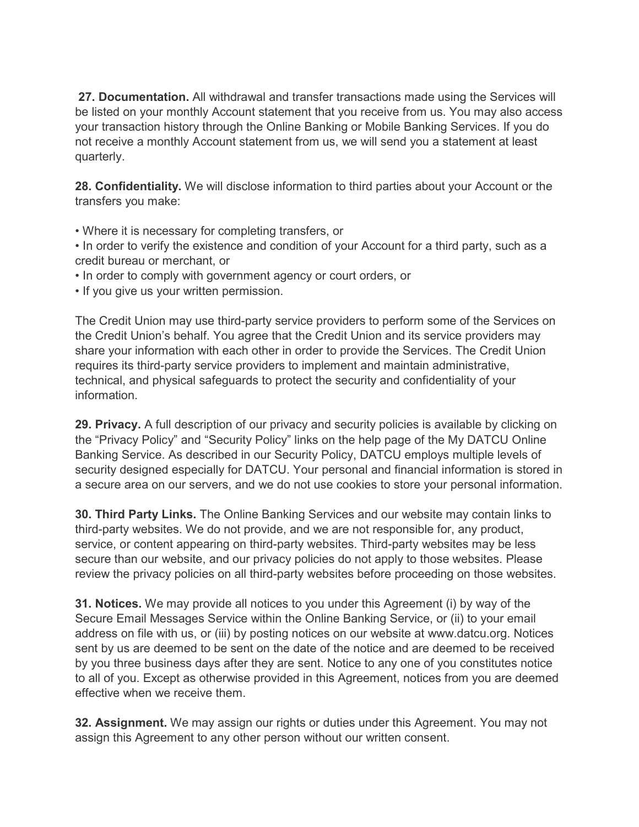**27. Documentation.** All withdrawal and transfer transactions made using the Services will be listed on your monthly Account statement that you receive from us. You may also access your transaction history through the Online Banking or Mobile Banking Services. If you do not receive a monthly Account statement from us, we will send you a statement at least quarterly.

**28. Confidentiality.** We will disclose information to third parties about your Account or the transfers you make:

- Where it is necessary for completing transfers, or
- In order to verify the existence and condition of your Account for a third party, such as a credit bureau or merchant, or
- In order to comply with government agency or court orders, or
- If you give us your written permission.

The Credit Union may use third-party service providers to perform some of the Services on the Credit Union's behalf. You agree that the Credit Union and its service providers may share your information with each other in order to provide the Services. The Credit Union requires its third-party service providers to implement and maintain administrative, technical, and physical safeguards to protect the security and confidentiality of your information.

**29. Privacy.** A full description of our privacy and security policies is available by clicking on the "Privacy Policy" and "Security Policy" links on the help page of the My DATCU Online Banking Service. As described in our Security Policy, DATCU employs multiple levels of security designed especially for DATCU. Your personal and financial information is stored in a secure area on our servers, and we do not use cookies to store your personal information.

**30. Third Party Links.** The Online Banking Services and our website may contain links to third-party websites. We do not provide, and we are not responsible for, any product, service, or content appearing on third-party websites. Third-party websites may be less secure than our website, and our privacy policies do not apply to those websites. Please review the privacy policies on all third-party websites before proceeding on those websites.

**31. Notices.** We may provide all notices to you under this Agreement (i) by way of the Secure Email Messages Service within the Online Banking Service, or (ii) to your email address on file with us, or (iii) by posting notices on our website at www.datcu.org. Notices sent by us are deemed to be sent on the date of the notice and are deemed to be received by you three business days after they are sent. Notice to any one of you constitutes notice to all of you. Except as otherwise provided in this Agreement, notices from you are deemed effective when we receive them.

**32. Assignment.** We may assign our rights or duties under this Agreement. You may not assign this Agreement to any other person without our written consent.